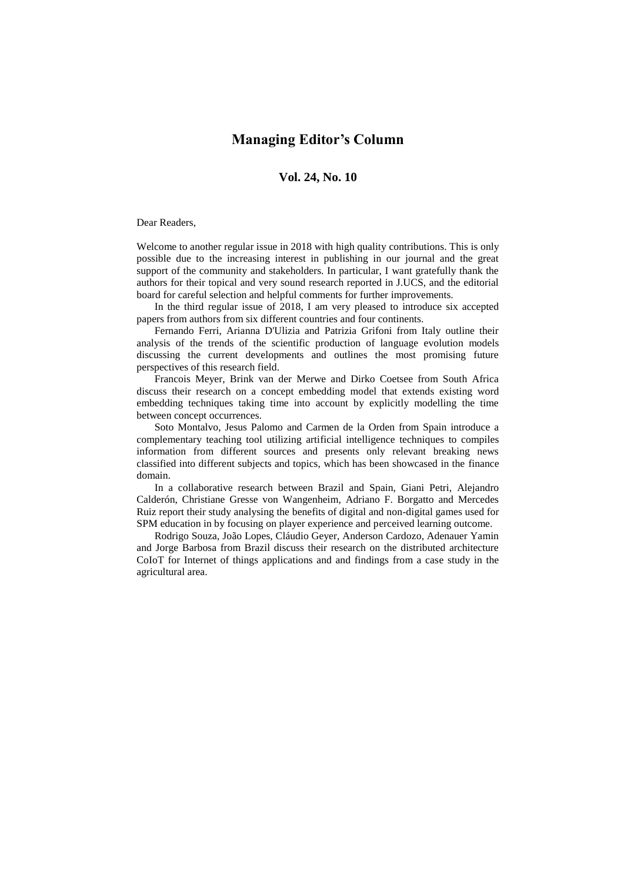## **Managing Editor's Column**

## **Vol. 24, No. 10**

## Dear Readers,

Welcome to another regular issue in 2018 with high quality contributions. This is only possible due to the increasing interest in publishing in our journal and the great support of the community and stakeholders. In particular, I want gratefully thank the authors for their topical and very sound research reported in J.UCS, and the editorial board for careful selection and helpful comments for further improvements.

In the third regular issue of 2018, I am very pleased to introduce six accepted papers from authors from six different countries and four continents.

Fernando Ferri, Arianna D'Ulizia and Patrizia Grifoni from Italy outline their analysis of the trends of the scientific production of language evolution models discussing the current developments and outlines the most promising future perspectives of this research field.

Francois Meyer, Brink van der Merwe and Dirko Coetsee from South Africa discuss their research on a concept embedding model that extends existing word embedding techniques taking time into account by explicitly modelling the time between concept occurrences.

Soto Montalvo, Jesus Palomo and Carmen de la Orden from Spain introduce a complementary teaching tool utilizing artificial intelligence techniques to compiles information from different sources and presents only relevant breaking news classified into different subjects and topics, which has been showcased in the finance domain.

In a collaborative research between Brazil and Spain, Giani Petri, Alejandro Calderón, Christiane Gresse von Wangenheim, Adriano F. Borgatto and Mercedes Ruiz report their study analysing the benefits of digital and non-digital games used for SPM education in by focusing on player experience and perceived learning outcome.

Rodrigo Souza, João Lopes, Cláudio Geyer, Anderson Cardozo, Adenauer Yamin and Jorge Barbosa from Brazil discuss their research on the distributed architecture CoIoT for Internet of things applications and and findings from a case study in the agricultural area.